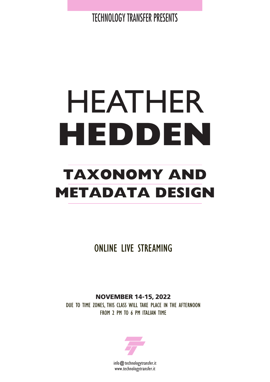TECHNOLOGY TRANSFER PRESENTS

# HEATHER **HEDDEN**

## **TAXONOMY AND METADATA DESIGN**

ONLINE LIVE STREAMING

**NOVEMBER 14-15, 2022**

DUE TO TIME ZONES, THIS CLASS WILL TAKE PLACE IN THE AFTERNOON FROM 2 PM TO 6 PM ITALIAN TIME

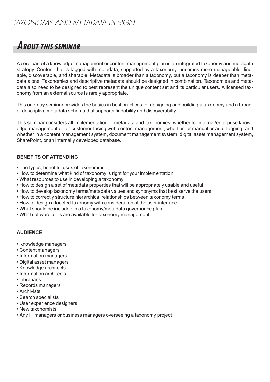### *TAXONOMY AND METADATA DESIGN*

## **ABOUT THIS SEMINAR**

A core part of a knowledge management or content management plan is an integrated taxonomy and metadata strategy. Content that is tagged with metadata, supported by a taxonomy, becomes more manageable, findable, discoverable, and sharable. Metadata is broader than a taxonomy, but a taxonomy is deeper than metadata alone. Taxonomies and descriptive metadata should be designed in combination. Taxonomies and metadata also need to be designed to best represent the unique content set and its particular users. A licensed taxonomy from an external source is rarely appropriate.

This one-day seminar provides the basics in best practices for designing and building a taxonomy and a broader descriptive metadata schema that supports findability and discoverabilty.

This seminar considers all implementation of metadata and taxonomies, whether for internal/enterprise knowledge management or for customer-facing web content management, whether for manual or auto-tagging, and whether in a content management system, document management system, digital asset management system, SharePoint, or an internally developed database.

#### **BENEFITS OF ATTENDING**

- The types, benefits, uses of taxonomies
- How to determine what kind of taxonomy is right for your implementation
- What resources to use in developing a taxonomy
- How to design a set of metadata properties that will be appropriately usable and useful
- How to develop taxonomy terms/metadata values and synonyms that best serve the users
- How to correctly structure hierarchical relationships between taxonomy terms
- How to design a faceted taxonomy with consideration of the user interface
- What should be included in a taxonomy/metadata governance plan
- What software tools are available for taxonomy management

#### **AUDIENCE**

- Knowledge managers
- Content managers
- Information managers
- Digital asset managers
- Knowledge architects
- Information architects
- Librarians
- Records managers
- Archivists
- Search specialists
- User experience designers
- New taxonomists
- Any IT managers or business managers overseeing a taxonomy project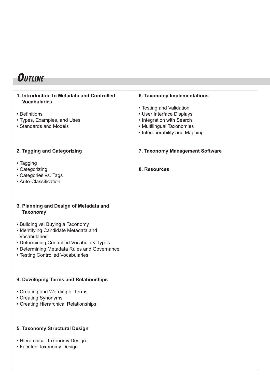## **OUTLINE**

| 1. Introduction to Metadata and Controlled<br><b>Vocabularies</b> | <b>6. Taxonomy Implementations</b> |
|-------------------------------------------------------------------|------------------------------------|
|                                                                   | • Testing and Validation           |
| • Definitions                                                     | • User Interface Displays          |
| • Types, Examples, and Uses                                       | • Integration with Search          |
| • Standards and Models                                            | • Multilingual Taxonomies          |
|                                                                   | • Interoperability and Mapping     |
|                                                                   |                                    |
| 2. Tagging and Categorizing                                       | 7. Taxonomy Management Software    |
| • Tagging                                                         |                                    |
| • Categorizing                                                    | 8. Resources                       |
| • Categories vs. Tags                                             |                                    |
| • Auto-Classification                                             |                                    |
|                                                                   |                                    |
|                                                                   |                                    |
| 3. Planning and Design of Metadata and<br><b>Taxonomy</b>         |                                    |
| • Building vs. Buying a Taxonomy                                  |                                    |
| • Identifying Candidate Metadata and                              |                                    |
| Vocabularies                                                      |                                    |
| • Determining Controlled Vocabulary Types                         |                                    |
| • Determining Metadata Rules and Governance                       |                                    |
| • Testing Controlled Vocabularies                                 |                                    |
|                                                                   |                                    |
| 4. Developing Terms and Relationships                             |                                    |
|                                                                   |                                    |
| • Creating and Wording of Terms                                   |                                    |
| • Creating Synonyms                                               |                                    |
| • Creating Hierarchical Relationships                             |                                    |
|                                                                   |                                    |
|                                                                   |                                    |
| 5. Taxonomy Structural Design                                     |                                    |
| • Hierarchical Taxonomy Design                                    |                                    |
| • Faceted Taxonomy Design                                         |                                    |
|                                                                   |                                    |
|                                                                   |                                    |
|                                                                   |                                    |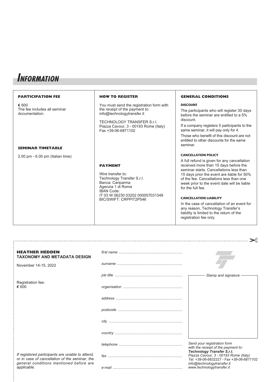## **INFORMATION**

| <b>PARTICIPATION FEE</b>                                | <b>HOW TO REGISTER</b>                                                                                                                                                                                | <b>GENERAL CONDITIONS</b>                                                                                                                                                                                                                                                                                                                                                                                                                                                                                              |
|---------------------------------------------------------|-------------------------------------------------------------------------------------------------------------------------------------------------------------------------------------------------------|------------------------------------------------------------------------------------------------------------------------------------------------------------------------------------------------------------------------------------------------------------------------------------------------------------------------------------------------------------------------------------------------------------------------------------------------------------------------------------------------------------------------|
| € 600<br>The fee includes all seminar<br>documentation. | You must send the registration form with<br>the receipt of the payment to:<br>info@technologytransfer.it<br>TECHNOLOGY TRANSFER S.r.l.<br>Piazza Cavour, 3 - 00193 Rome (Italy)<br>Fax +39-06-6871102 | <b>DISCOUNT</b><br>The participants who will register 30 days<br>before the seminar are entitled to a 5%<br>discount.<br>If a company registers 5 participants to the<br>same seminar, it will pay only for 4.<br>Those who benefit of this discount are not                                                                                                                                                                                                                                                           |
| <b>SEMINAR TIMETABLE</b>                                |                                                                                                                                                                                                       | entitled to other discounts for the same<br>seminar.                                                                                                                                                                                                                                                                                                                                                                                                                                                                   |
| 2.00 pm - 6.00 pm (Italian time)                        | <b>PAYMENT</b><br>Wire transfer to:<br>Technology Transfer S.r.l.<br>Banca: Cariparma<br>Agenzia 1 di Roma<br><b>IBAN Code:</b><br>IT 03 W 06230 03202 000057031348<br>BIC/SWIFT: CRPPIT2P546         | <b>CANCELLATION POLICY</b><br>A full refund is given for any cancellation<br>received more than 15 days before the<br>seminar starts. Cancellations less than<br>15 days prior the event are liable for 50%<br>of the fee. Cancellations less than one<br>week prior to the event date will be liable<br>for the full fee.<br><b>CANCELLATION LIABILITY</b><br>In the case of cancellation of an event for<br>any reason, Technology Transfer's<br>liability is limited to the return of the<br>registration fee only. |

| <b>HEATHER HEDDEN</b><br>TAXONOMY AND METADATA DESIGN                                                                                                        |                       |                                                                                                                        |
|--------------------------------------------------------------------------------------------------------------------------------------------------------------|-----------------------|------------------------------------------------------------------------------------------------------------------------|
| November 14-15, 2022                                                                                                                                         | $\sum_{n=1}^{\infty}$ |                                                                                                                        |
|                                                                                                                                                              |                       | Stamp and signature                                                                                                    |
| Registration fee:<br>€ 600                                                                                                                                   |                       |                                                                                                                        |
|                                                                                                                                                              |                       |                                                                                                                        |
|                                                                                                                                                              |                       |                                                                                                                        |
|                                                                                                                                                              |                       |                                                                                                                        |
|                                                                                                                                                              |                       |                                                                                                                        |
|                                                                                                                                                              |                       | Send your registration form<br>with the receipt of the payment to:                                                     |
| If registered participants are unable to attend,<br>or in case of cancellation of the seminar, the<br>general conditions mentioned before are<br>applicable. |                       | <b>Technology Transfer S.r.l.</b><br>Piazza Cavour, 3 - 00193 Rome (Italy)<br>Tel. +39-06-6832227 - Fax +39-06-6871102 |
|                                                                                                                                                              |                       | info@technologytransfer.it<br>www.technologytransfer.it                                                                |

 $\geq$